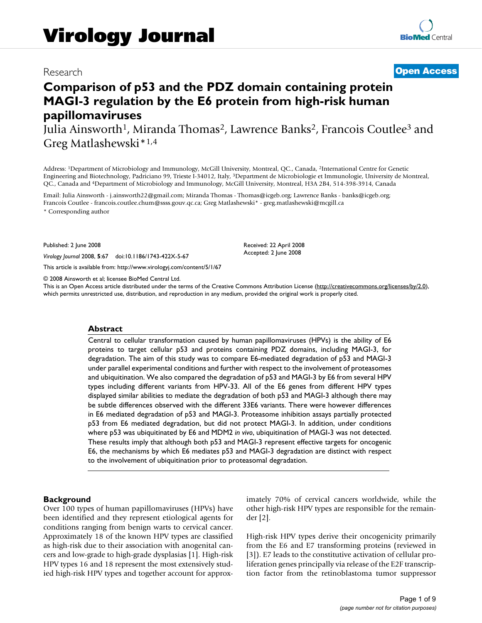# Research **[Open Access](http://www.biomedcentral.com/info/about/charter/)**

# **Comparison of p53 and the PDZ domain containing protein MAGI-3 regulation by the E6 protein from high-risk human papillomaviruses**

Julia Ainsworth<sup>1</sup>, Miranda Thomas<sup>2</sup>, Lawrence Banks<sup>2</sup>, Francois Coutlee<sup>3</sup> and Greg Matlashewski\*1,4

Address: 1Department of Microbiology and Immunology, McGill University, Montreal, QC., Canada, 2International Centre for Genetic Engineering and Biotechnology, Padriciano 99, Trieste I-34012, Italy, 3Department de Microbiologie et Immunologie, University de Montreal, QC., Canada and 4Department of Microbiology and Immunology, McGill University, Montreal, H3A 2B4, 514-398-3914, Canada

Email: Julia Ainsworth - j.ainsworth22@gmail.com; Miranda Thomas - Thomas@icgeb.org; Lawrence Banks - banks@icgeb.org; Francois Coutlee - francois.coutlee.chum@ssss.gouv.qc.ca; Greg Matlashewski\* - greg.matlashewski@mcgill.ca \* Corresponding author

Published: 2 June 2008

*Virology Journal* 2008, **5**:67 doi:10.1186/1743-422X-5-67

[This article is available from: http://www.virologyj.com/content/5/1/67](http://www.virologyj.com/content/5/1/67)

© 2008 Ainsworth et al; licensee BioMed Central Ltd.

This is an Open Access article distributed under the terms of the Creative Commons Attribution License [\(http://creativecommons.org/licenses/by/2.0\)](http://creativecommons.org/licenses/by/2.0), which permits unrestricted use, distribution, and reproduction in any medium, provided the original work is properly cited.

Received: 22 April 2008 Accepted: 2 June 2008

#### **Abstract**

Central to cellular transformation caused by human papillomaviruses (HPVs) is the ability of E6 proteins to target cellular p53 and proteins containing PDZ domains, including MAGI-3, for degradation. The aim of this study was to compare E6-mediated degradation of p53 and MAGI-3 under parallel experimental conditions and further with respect to the involvement of proteasomes and ubiquitination. We also compared the degradation of p53 and MAGI-3 by E6 from several HPV types including different variants from HPV-33. All of the E6 genes from different HPV types displayed similar abilities to mediate the degradation of both p53 and MAGI-3 although there may be subtle differences observed with the different 33E6 variants. There were however differences in E6 mediated degradation of p53 and MAGI-3. Proteasome inhibition assays partially protected p53 from E6 mediated degradation, but did not protect MAGI-3. In addition, under conditions where p53 was ubiquitinated by E6 and MDM2 *in vivo*, ubiquitination of MAGI-3 was not detected. These results imply that although both p53 and MAGI-3 represent effective targets for oncogenic E6, the mechanisms by which E6 mediates p53 and MAGI-3 degradation are distinct with respect to the involvement of ubiquitination prior to proteasomal degradation.

# **Background**

Over 100 types of human papillomaviruses (HPVs) have been identified and they represent etiological agents for conditions ranging from benign warts to cervical cancer. Approximately 18 of the known HPV types are classified as high-risk due to their association with anogenital cancers and low-grade to high-grade dysplasias [1]. High-risk HPV types 16 and 18 represent the most extensively studied high-risk HPV types and together account for approximately 70% of cervical cancers worldwide, while the other high-risk HPV types are responsible for the remainder [2].

High-risk HPV types derive their oncogenicity primarily from the E6 and E7 transforming proteins (reviewed in [3]). E7 leads to the constitutive activation of cellular proliferation genes principally via release of the E2F transcription factor from the retinoblastoma tumor suppressor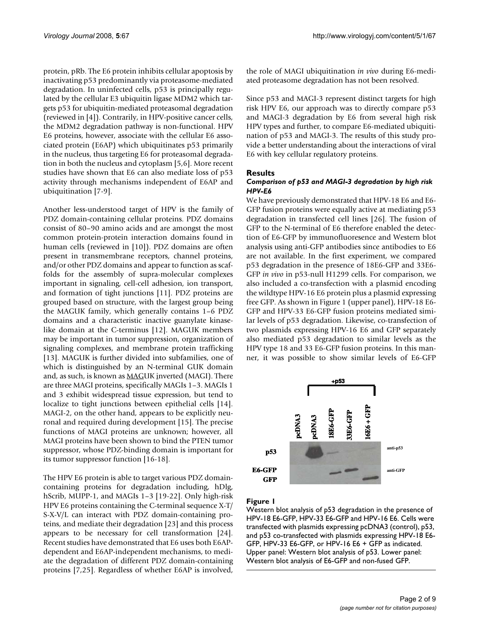protein, pRb. The E6 protein inhibits cellular apoptosis by inactivating p53 predominantly via proteasome-mediated degradation. In uninfected cells, p53 is principally regulated by the cellular E3 ubiquitin ligase MDM2 which targets p53 for ubiquitin-mediated proteasomal degradation (reviewed in [4]). Contrarily, in HPV-positive cancer cells, the MDM2 degradation pathway is non-functional. HPV E6 proteins, however, associate with the cellular E6 associated protein (E6AP) which ubiquitinates p53 primarily in the nucleus, thus targeting E6 for proteasomal degradation in both the nucleus and cytoplasm [5,6]. More recent studies have shown that E6 can also mediate loss of p53 activity through mechanisms independent of E6AP and ubiquitination [7-9].

Another less-understood target of HPV is the family of PDZ domain-containing cellular proteins. PDZ domains consist of 80–90 amino acids and are amongst the most common protein-protein interaction domains found in human cells (reviewed in [10]). PDZ domains are often present in transmembrane receptors, channel proteins, and/or other PDZ domains and appear to function as scaffolds for the assembly of supra-molecular complexes important in signaling, cell-cell adhesion, ion transport, and formation of tight junctions [11]. PDZ proteins are grouped based on structure, with the largest group being the MAGUK family, which generally contains 1–6 PDZ domains and a characteristic inactive guanylate kinaselike domain at the C-terminus [12]. MAGUK members may be important in tumor suppression, organization of signaling complexes, and membrane protein trafficking [13]. MAGUK is further divided into subfamilies, one of which is distinguished by an N-terminal GUK domain and, as such, is known as **MAGUK** inverted (MAGI). There are three MAGI proteins, specifically MAGIs 1–3. MAGIs 1 and 3 exhibit widespread tissue expression, but tend to localize to tight junctions between epithelial cells [14]. MAGI-2, on the other hand, appears to be explicitly neuronal and required during development [15]. The precise functions of MAGI proteins are unknown; however, all MAGI proteins have been shown to bind the PTEN tumor suppressor, whose PDZ-binding domain is important for its tumor suppressor function [16-18].

The HPV E6 protein is able to target various PDZ domaincontaining proteins for degradation including, hDlg, hScrib, MUPP-1, and MAGIs 1–3 [19-22]. Only high-risk HPV E6 proteins containing the C-terminal sequence X-T/ S-X-V/L can interact with PDZ domain-containing proteins, and mediate their degradation [23] and this process appears to be necessary for cell transformation [24]. Recent studies have demonstrated that E6 uses both E6APdependent and E6AP-independent mechanisms, to mediate the degradation of different PDZ domain-containing proteins [7,25]. Regardless of whether E6AP is involved,

the role of MAGI ubiquitination *in vivo* during E6-mediated proteasome degradation has not been resolved.

Since p53 and MAGI-3 represent distinct targets for high risk HPV E6, our approach was to directly compare p53 and MAGI-3 degradation by E6 from several high risk HPV types and further, to compare E6-mediated ubiquitination of p53 and MAGI-3. The results of this study provide a better understanding about the interactions of viral E6 with key cellular regulatory proteins.

#### **Results**

#### *Comparison of p53 and MAGI-3 degradation by high risk HPV-E6*

We have previously demonstrated that HPV-18 E6 and E6- GFP fusion proteins were equally active at mediating p53 degradation in transfected cell lines [26]. The fusion of GFP to the N-terminal of E6 therefore enabled the detection of E6-GFP by immunofluoresence and Western blot analysis using anti-GFP antibodies since antibodies to E6 are not available. In the first experiment, we compared p53 degradation in the presence of 18E6-GFP and 33E6- GFP *in vivo* in p53-null H1299 cells. For comparison, we also included a co-transfection with a plasmid encoding the wildtype HPV-16 E6 protein plus a plasmid expressing free GFP. As shown in Figure 1 (upper panel), HPV-18 E6- GFP and HPV-33 E6-GFP fusion proteins mediated similar levels of p53 degradation. Likewise, co-transfection of two plasmids expressing HPV-16 E6 and GFP separately also mediated p53 degradation to similar levels as the HPV type 18 and 33 E6-GFP fusion proteins. In this manner, it was possible to show similar levels of E6-GFP



# Figure 1

Western blot analysis of p53 degradation in the presence of HPV-18 E6-GFP, HPV-33 E6-GFP and HPV-16 E6. Cells were transfected with plasmids expressing pcDNA3 (control), p53, and p53 co-transfected with plasmids expressing HPV-18 E6- GFP, HPV-33 E6-GFP, or HPV-16 E6 + GFP as indicated. Upper panel: Western blot analysis of p53. Lower panel: Western blot analysis of E6-GFP and non-fused GFP.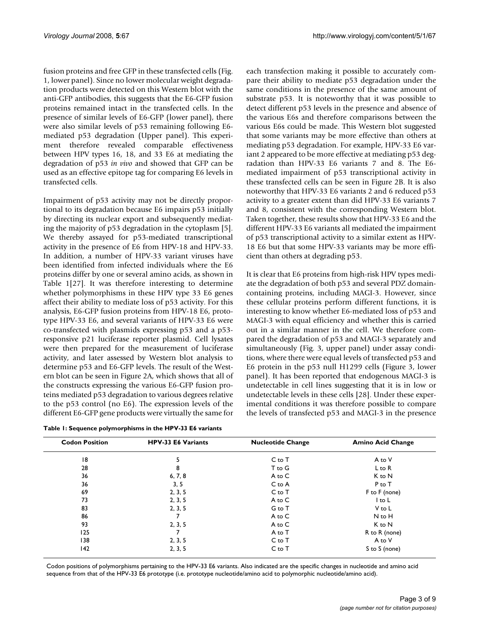fusion proteins and free GFP in these transfected cells (Fig. 1, lower panel). Since no lower molecular weight degradation products were detected on this Western blot with the anti-GFP antibodies, this suggests that the E6-GFP fusion proteins remained intact in the transfected cells. In the presence of similar levels of E6-GFP (lower panel), there were also similar levels of p53 remaining following E6 mediated p53 degradation (Upper panel). This experiment therefore revealed comparable effectiveness between HPV types 16, 18, and 33 E6 at mediating the degradation of p53 *in vivo* and showed that GFP can be used as an effective epitope tag for comparing E6 levels in transfected cells.

Impairment of p53 activity may not be directly proportional to its degradation because E6 impairs p53 initially by directing its nuclear export and subsequently mediating the majority of p53 degradation in the cytoplasm [5]. We thereby assayed for p53-mediated transcriptional activity in the presence of E6 from HPV-18 and HPV-33. In addition, a number of HPV-33 variant viruses have been identified from infected individuals where the E6 proteins differ by one or several amino acids, as shown in Table 1[27]. It was therefore interesting to determine whether polymorphisms in these HPV type 33 E6 genes affect their ability to mediate loss of p53 activity. For this analysis, E6-GFP fusion proteins from HPV-18 E6, prototype HPV-33 E6, and several variants of HPV-33 E6 were co-transfected with plasmids expressing p53 and a p53 responsive p21 luciferase reporter plasmid. Cell lysates were then prepared for the measurement of luciferase activity, and later assessed by Western blot analysis to determine p53 and E6-GFP levels. The result of the Western blot can be seen in Figure 2A, which shows that all of the constructs expressing the various E6-GFP fusion proteins mediated p53 degradation to various degrees relative to the p53 control (no E6). The expression levels of the different E6-GFP gene products were virtually the same for

|  |  | Table 1: Sequence polymorphisms in the HPV-33 E6 variants |
|--|--|-----------------------------------------------------------|
|  |  |                                                           |

each transfection making it possible to accurately compare their ability to mediate p53 degradation under the same conditions in the presence of the same amount of substrate p53. It is noteworthy that it was possible to detect different p53 levels in the presence and absence of the various E6s and therefore comparisons between the various E6s could be made. This Western blot suggested that some variants may be more effective than others at mediating p53 degradation. For example, HPV-33 E6 variant 2 appeared to be more effective at mediating p53 degradation than HPV-33 E6 variants 7 and 8. The E6 mediated impairment of p53 transcriptional activity in these transfected cells can be seen in Figure 2B. It is also noteworthy that HPV-33 E6 variants 2 and 6 reduced p53 activity to a greater extent than did HPV-33 E6 variants 7 and 8, consistent with the corresponding Western blot. Taken together, these results show that HPV-33 E6 and the different HPV-33 E6 variants all mediated the impairment of p53 transcriptional activity to a similar extent as HPV-18 E6 but that some HPV-33 variants may be more efficient than others at degrading p53.

It is clear that E6 proteins from high-risk HPV types mediate the degradation of both p53 and several PDZ domaincontaining proteins, including MAGI-3. However, since these cellular proteins perform different functions, it is interesting to know whether E6-mediated loss of p53 and MAGI-3 with equal efficiency and whether this is carried out in a similar manner in the cell. We therefore compared the degradation of p53 and MAGI-3 separately and simultaneously (Fig. 3, upper panel) under assay conditions, where there were equal levels of transfected p53 and E6 protein in the p53 null H1299 cells (Figure 3, lower panel). It has been reported that endogenous MAGI-3 is undetectable in cell lines suggesting that it is in low or undetectable levels in these cells [28]. Under these experimental conditions it was therefore possible to compare the levels of transfected p53 and MAGI-3 in the presence

| <b>Codon Position</b> | <b>HPV-33 E6 Variants</b> | <b>Nucleotide Change</b> | <b>Amino Acid Change</b> |  |  |
|-----------------------|---------------------------|--------------------------|--------------------------|--|--|
| 18                    |                           | $C$ to $T$               | A to V                   |  |  |
| 28                    | 8                         | T to G                   | $L$ to $R$               |  |  |
| 36                    | 6, 7, 8                   | A to C                   | K to N                   |  |  |
| 36                    | 3, 5                      | C to A                   | $P$ to $T$               |  |  |
| 69                    | 2, 3, 5                   | $C$ to $T$               | $F$ to $F$ (none)        |  |  |
| 73                    | 2, 3, 5                   | A to C                   | l to L                   |  |  |
| 83                    | 2, 3, 5                   | G to T                   | V to L                   |  |  |
| 86                    |                           | A to C                   | N to H                   |  |  |
| 93                    | 2, 3, 5                   | A to C                   | K to N                   |  |  |
| 125                   |                           | A to T                   | R to R (none)            |  |  |
| 138                   | 2, 3, 5                   | $C$ to $T$               | A to V                   |  |  |
| 142                   | 2, 3, 5                   | $C$ to $T$               | S to S (none)            |  |  |

Codon positions of polymorphisms pertaining to the HPV-33 E6 variants. Also indicated are the specific changes in nucleotide and amino acid sequence from that of the HPV-33 E6 prototype (i.e. prototype nucleotide/amino acid to polymorphic nucleotide/amino acid).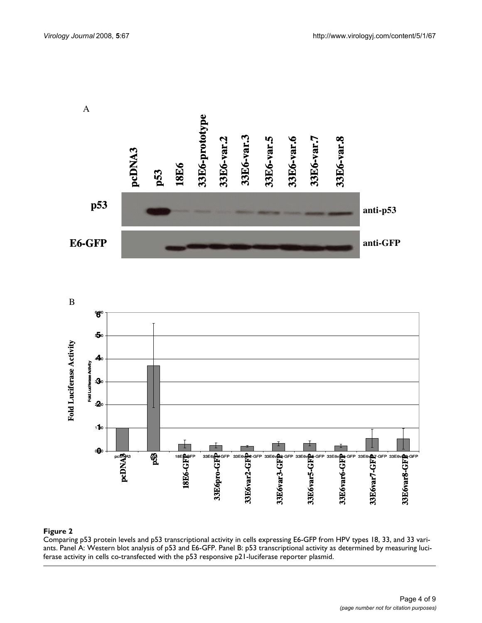



ants **Figure 2** Comparing p53 protein levels and p53 transcriptional activity in cells expressing E6-GFP from HPV types 18, 33, and 33 vari-Comparing p53 protein levels and p53 transcriptional activity in cells expressing E6-GFP from HPV types 18, 33, and 33 variants. Panel A: Western blot analysis of p53 and E6-GFP. Panel B: p53 transcriptional activity as determined by measuring luciferase activity in cells co-transfected with the p53 responsive p21-luciferase reporter plasmid.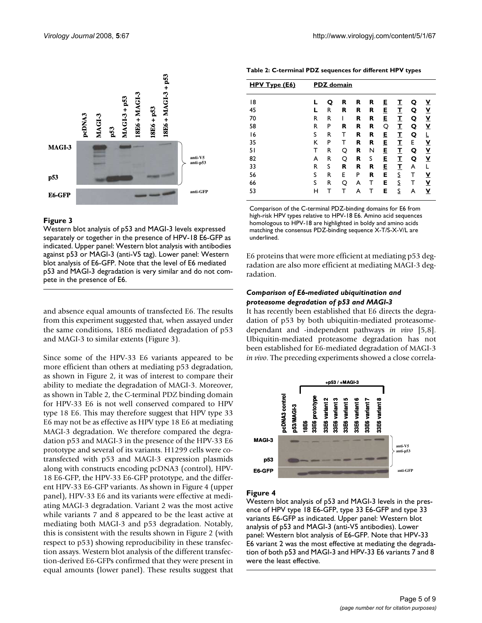



# Figure 3

Western blot analysis of p53 and MAGI-3 levels expressed separately or together in the presence of HPV-18 E6-GFP as indicated. Upper panel: Western blot analysis with antibodies against p53 or MAGI-3 (anti-V5 tag). Lower panel: Western blot analysis of E6-GFP. Note that the level of E6 mediated p53 and MAGI-3 degradation is very similar and do not com-

and absence equal amounts of transfected E6. The results from this experiment suggested that, when assayed under the same conditions, 18E6 mediated degradation of p53 and MAGI-3 to similar extents (Figure 3).

Since some of the HPV-33 E6 variants appeared to be more efficient than others at mediating p53 degradation, as shown in Figure 2, it was of interest to compare their ability to mediate the degradation of MAGI-3. Moreover, as shown in Table 2, the C-terminal PDZ binding domain for HPV-33 E6 is not well conserved compared to HPV type 18 E6. This may therefore suggest that HPV type 33 E6 may not be as effective as HPV type 18 E6 at mediating MAGI-3 degradation. We therefore compared the degradation p53 and MAGI-3 in the presence of the HPV-33 E6 prototype and several of its variants. H1299 cells were cotransfected with p53 and MAGI-3 expression plasmids along with constructs encoding pcDNA3 (control), HPV-18 E6-GFP, the HPV-33 E6-GFP prototype, and the different HPV-33 E6-GFP variants. As shown in Figure 4 (upper panel), HPV-33 E6 and its variants were effective at mediating MAGI-3 degradation. Variant 2 was the most active while variants 7 and 8 appeared to be the least active at mediating both MAGI-3 and p53 degradation. Notably, this is consistent with the results shown in Figure 2 (with respect to p53) showing reproducibility in these transfection assays. Western blot analysis of the different transfection-derived E6-GFPs confirmed that they were present in equal amounts (lower panel). These results suggest that

**Table 2: C-terminal PDZ sequences for different HPV types**

| HPV Type (E6) | <b>PDZ</b> domain |   |   |   |   |   |   |   |                          |
|---------------|-------------------|---|---|---|---|---|---|---|--------------------------|
| 18            | L                 | Q | R | R | R | E | I | Q | $\mathbf y$              |
| 45            | L                 | R | R | R | R | E | I | Q | <u>v</u>                 |
| 70            | R                 | R |   | R | R | E | I | Q | <u>v</u>                 |
| 58            | R                 | P | R | R | R | Q | I | Q | Y                        |
| 16            | S                 | R | т | R | R | E | I | Q |                          |
| 35            | Κ                 | P | т | R | R | E | I | Е | <u>v</u>                 |
| 51            | т                 | R | Q | R | N | E | I | Q | $\underline{\mathsf{v}}$ |
| 82            | A                 | R | O | R | S | E | I | Q | $\underline{\mathsf{v}}$ |
| 33            | R                 | S | R | R | R | E | I | A | L                        |
| 56            | S                 | R | E | P | R | Е | S | т | <u>v</u>                 |
| 66            | S                 | R | O | A | т | E | S | т | $\underline{\mathsf{v}}$ |
| 53            | н                 | т | т | A |   | E | S | A | <u>v</u>                 |

Comparison of the C-terminal PDZ-binding domains for E6 from high-risk HPV types relative to HPV-18 E6. Amino acid sequences homologous to HPV-18 are highlighted in boldy and amino acids matching the consensus PDZ-binding sequence X-T/S-X-V/L are underlined.

E6 proteins that were more efficient at mediating p53 degradation are also more efficient at mediating MAGI-3 degradation.

# *Comparison of E6-mediated ubiquitination and proteasome degradation of p53 and MAGI-3*

It has recently been established that E6 directs the degradation of p53 by both ubiquitin-mediated proteasomedependant and -independent pathways *in vivo* [5,8]. Ubiquitin-mediated proteasome degradation has not been established for E6-mediated degradation of MAGI-3 *in vivo*. The preceding experiments showed a close correla-



# Figure 4

Western blot analysis of p53 and MAGI-3 levels in the presence of HPV type 18 E6-GFP, type 33 E6-GFP and type 33 variants E6-GFP as indicated. Upper panel: Western blot analysis of p53 and MAGI-3 (anti-V5 antibodies). Lower panel: Western blot analysis of E6-GFP. Note that HPV-33 E6 variant 2 was the most effective at mediating the degradation of both p53 and MAGI-3 and HPV-33 E6 variants 7 and 8 were the least effective.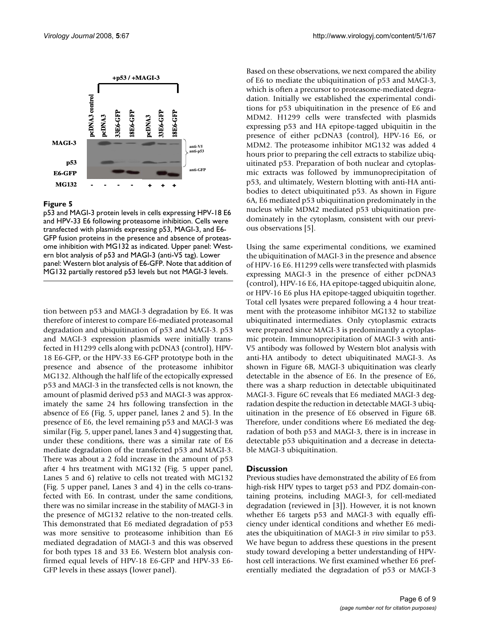

# Figure 5

p53 and MAGI-3 protein levels in cells expressing HPV-18 E6 and HPV-33 E6 following proteasome inhibition. Cells were transfected with plasmids expressing p53, MAGI-3, and E6- GFP fusion proteins in the presence and absence of proteasome inhibition with MG132 as indicated. Upper panel: Western blot analysis of p53 and MAGI-3 (anti-V5 tag). Lower panel: Western blot analysis of E6-GFP. Note that addition of MG132 partially restored p53 levels but not MAGI-3 levels.

tion between p53 and MAGI-3 degradation by E6. It was therefore of interest to compare E6-mediated proteasomal degradation and ubiquitination of p53 and MAGI-3. p53 and MAGI-3 expression plasmids were initially transfected in H1299 cells along with pcDNA3 (control), HPV-18 E6-GFP, or the HPV-33 E6-GFP prototype both in the presence and absence of the proteasome inhibitor MG132. Although the half life of the ectopically expressed p53 and MAGI-3 in the transfected cells is not known, the amount of plasmid derived p53 and MAGI-3 was approximately the same 24 hrs following transfection in the absence of E6 (Fig. 5, upper panel, lanes 2 and 5). In the presence of E6, the level remaining p53 and MAGI-3 was similar (Fig. 5, upper panel, lanes 3 and 4) suggesting that, under these conditions, there was a similar rate of E6 mediate degradation of the transfected p53 and MAGI-3. There was about a 2 fold increase in the amount of p53 after 4 hrs treatment with MG132 (Fig. 5 upper panel, Lanes 5 and 6) relative to cells not treated with MG132 (Fig. 5 upper panel, Lanes 3 and 4) in the cells co-transfected with E6. In contrast, under the same conditions, there was no similar increase in the stability of MAGI-3 in the presence of MG132 relative to the non-treated cells. This demonstrated that E6 mediated degradation of p53 was more sensitive to proteasome inhibition than E6 mediated degradation of MAGI-3 and this was observed for both types 18 and 33 E6. Western blot analysis confirmed equal levels of HPV-18 E6-GFP and HPV-33 E6- GFP levels in these assays (lower panel).

Based on these observations, we next compared the ability of E6 to mediate the ubiquitination of p53 and MAGI-3, which is often a precursor to proteasome-mediated degradation. Initially we established the experimental conditions for p53 ubiquitination in the presence of E6 and MDM2. H1299 cells were transfected with plasmids expressing p53 and HA epitope-tagged ubiquitin in the presence of either pcDNA3 (control), HPV-16 E6, or MDM2. The proteasome inhibitor MG132 was added 4 hours prior to preparing the cell extracts to stabilize ubiquitinated p53. Preparation of both nuclear and cytoplasmic extracts was followed by immunoprecipitation of p53, and ultimately, Western blotting with anti-HA antibodies to detect ubiquitinated p53. As shown in Figure 6A, E6 mediated p53 ubiquitination predominately in the nucleus while MDM2 mediated p53 ubiquitination predominately in the cytoplasm, consistent with our previous observations [5].

Using the same experimental conditions, we examined the ubiquitination of MAGI-3 in the presence and absence of HPV-16 E6. H1299 cells were transfected with plasmids expressing MAGI-3 in the presence of either pcDNA3 (control), HPV-16 E6, HA epitope-tagged ubiquitin alone, or HPV-16 E6 plus HA epitope-tagged ubiquitin together. Total cell lysates were prepared following a 4 hour treatment with the proteasome inhibitor MG132 to stabilize ubiquitinated intermediates. Only cytoplasmic extracts were prepared since MAGI-3 is predominantly a cytoplasmic protein. Immunoprecipitation of MAGI-3 with anti-V5 antibody was followed by Western blot analysis with anti-HA antibody to detect ubiquitinated MAGI-3. As shown in Figure 6B, MAGI-3 ubiquitination was clearly detectable in the absence of E6. In the presence of E6, there was a sharp reduction in detectable ubiquitinated MAGI-3. Figure 6C reveals that E6 mediated MAGI-3 degradation despite the reduction in detectable MAGI-3 ubiquitination in the presence of E6 observed in Figure 6B. Therefore, under conditions where E6 mediated the degradation of both p53 and MAGI-3, there is in increase in detectable p53 ubiquitination and a decrease in detectable MAGI-3 ubiquitination.

# **Discussion**

Previous studies have demonstrated the ability of E6 from high-risk HPV types to target p53 and PDZ domain-containing proteins, including MAGI-3, for cell-mediated degradation (reviewed in [3]). However, it is not known whether E6 targets p53 and MAGI-3 with equally efficiency under identical conditions and whether E6 mediates the ubiquitination of MAGI-3 *in vivo* similar to p53. We have begun to address these questions in the present study toward developing a better understanding of HPVhost cell interactions. We first examined whether E6 preferentially mediated the degradation of p53 or MAGI-3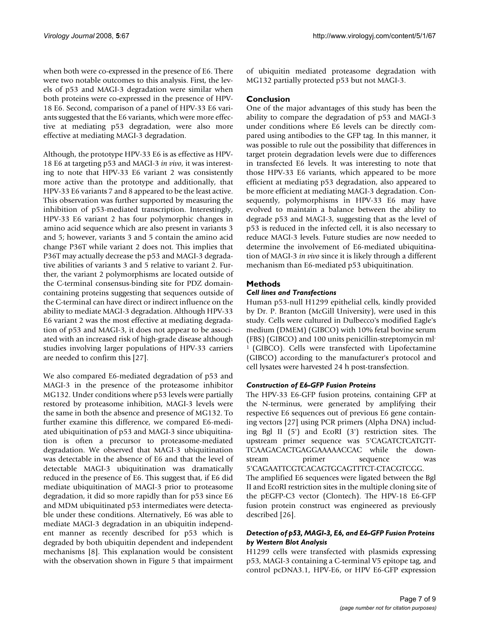when both were co-expressed in the presence of E6. There were two notable outcomes to this analysis. First, the levels of p53 and MAGI-3 degradation were similar when both proteins were co-expressed in the presence of HPV-18 E6. Second, comparison of a panel of HPV-33 E6 variants suggested that the E6 variants, which were more effective at mediating p53 degradation, were also more effective at mediating MAGI-3 degradation.

Although, the prototype HPV-33 E6 is as effective as HPV-18 E6 at targeting p53 and MAGI-3 *in vivo*, it was interesting to note that HPV-33 E6 variant 2 was consistently more active than the prototype and additionally, that HPV-33 E6 variants 7 and 8 appeared to be the least active. This observation was further supported by measuring the inhibition of p53-mediated transcription. Interestingly, HPV-33 E6 variant 2 has four polymorphic changes in amino acid sequence which are also present in variants 3 and 5; however, variants 3 and 5 contain the amino acid change P36T while variant 2 does not. This implies that P36T may actually decrease the p53 and MAGI-3 degradative abilities of variants 3 and 5 relative to variant 2. Further, the variant 2 polymorphisms are located outside of the C-terminal consensus-binding site for PDZ domaincontaining proteins suggesting that sequences outside of the C-terminal can have direct or indirect influence on the ability to mediate MAGI-3 degradation. Although HPV-33 E6 variant 2 was the most effective at mediating degradation of p53 and MAGI-3, it does not appear to be associated with an increased risk of high-grade disease although studies involving larger populations of HPV-33 carriers are needed to confirm this [27].

We also compared E6-mediated degradation of p53 and MAGI-3 in the presence of the proteasome inhibitor MG132. Under conditions where p53 levels were partially restored by proteasome inhibition, MAGI-3 levels were the same in both the absence and presence of MG132. To further examine this difference, we compared E6-mediated ubiquitination of p53 and MAGI-3 since ubiquitination is often a precursor to proteasome-mediated degradation. We observed that MAGI-3 ubiquitination was detectable in the absence of E6 and that the level of detectable MAGI-3 ubiquitination was dramatically reduced in the presence of E6. This suggest that, if E6 did mediate ubiquitination of MAGI-3 prior to proteasome degradation, it did so more rapidly than for p53 since E6 and MDM ubiquitinated p53 intermediates were detectable under these conditions. Alternatively, E6 was able to mediate MAGI-3 degradation in an ubiquitin independent manner as recently described for p53 which is degraded by both ubiquitin dependent and independent mechanisms [8]. This explanation would be consistent with the observation shown in Figure 5 that impairment of ubiquitin mediated proteasome degradation with MG132 partially protected p53 but not MAGI-3.

# **Conclusion**

One of the major advantages of this study has been the ability to compare the degradation of p53 and MAGI-3 under conditions where E6 levels can be directly compared using antibodies to the GFP tag. In this manner, it was possible to rule out the possibility that differences in target protein degradation levels were due to differences in transfected E6 levels. It was interesting to note that those HPV-33 E6 variants, which appeared to be more efficient at mediating p53 degradation, also appeared to be more efficient at mediating MAGI-3 degradation. Consequently, polymorphisms in HPV-33 E6 may have evolved to maintain a balance between the ability to degrade p53 and MAGI-3, suggesting that as the level of p53 is reduced in the infected cell, it is also necessary to reduce MAGI-3 levels. Future studies are now needed to determine the involvement of E6-mediated ubiquitination of MAGI-3 *in vivo* since it is likely through a different mechanism than E6-mediated p53 ubiquitination.

# **Methods**

# *Cell lines and Transfections*

Human p53-null H1299 epithelial cells, kindly provided by Dr. P. Branton (McGill University), were used in this study. Cells were cultured in Dulbecco's modified Eagle's medium (DMEM) (GIBCO) with 10% fetal bovine serum (FBS) (GIBCO) and 100 units penicillin-streptomycin ml-1 (GIBCO). Cells were transfected with Lipofectamine (GIBCO) according to the manufacturer's protocol and cell lysates were harvested 24 h post-transfection.

# *Construction of E6-GFP Fusion Proteins*

The HPV-33 E6-GFP fusion proteins, containing GFP at the N-terminus, were generated by amplifying their respective E6 sequences out of previous E6 gene containing vectors [27] using PCR primers (Alpha DNA) including Bgl II (5') and EcoRI (3') restriction sites. The upstream primer sequence was 5'CAGATCTCATGTT-TCAAGACACTGAGGAAAAACCAC while the downstream primer sequence 5'CAGAATTCGTCACAGTGCAGTTTCT-CTACGTCGG.

The amplified E6 sequences were ligated between the Bgl II and EcoRI restriction sites in the multiple cloning site of the pEGFP-C3 vector (Clontech). The HPV-18 E6-GFP fusion protein construct was engineered as previously described [26].

# *Detection of p53, MAGI-3, E6, and E6-GFP Fusion Proteins by Western Blot Analysis*

H1299 cells were transfected with plasmids expressing p53, MAGI-3 containing a C-terminal V5 epitope tag, and control pcDNA3.1, HPV-E6, or HPV E6-GFP expression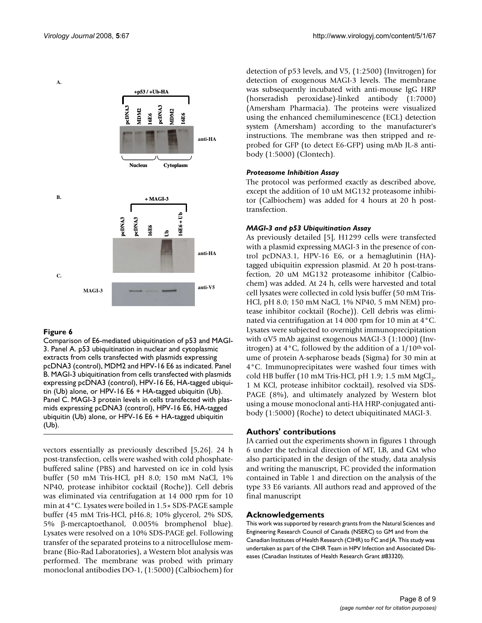

# Figure 6

Comparison of E6-mediated ubiquitination of p53 and MAGI-3. Panel A. p53 ubiquitination in nuclear and cytoplasmic extracts from cells transfected with plasmids expressing pcDNA3 (control), MDM2 and HPV-16 E6 as indicated. Panel B. MAGI-3 ubiquitination from cells transfected with plasmids expressing pcDNA3 (control), HPV-16 E6, HA-tagged ubiquitin (Ub) alone, or HPV-16 E6 + HA-tagged ubiquitin (Ub). Panel C. MAGI-3 protein levels in cells transfected with plasmids expressing pcDNA3 (control), HPV-16 E6, HA-tagged ubiquitin (Ub) alone, or HPV-16 E6 + HA-tagged ubiquitin (Ub).

vectors essentially as previously described [5,26]. 24 h post-transfection, cells were washed with cold phosphatebuffered saline (PBS) and harvested on ice in cold lysis buffer (50 mM Tris-HCl, pH 8.0; 150 mM NaCl, 1% NP40, protease inhibitor cocktail (Roche)). Cell debris was eliminated via centrifugation at 14 000 rpm for 10 min at 4°C. Lysates were boiled in 1.5× SDS-PAGE sample buffer (45 mM Tris-HCl, pH6.8; 10% glycerol, 2% SDS, 5% β-mercaptoethanol, 0.005% bromphenol blue). Lysates were resolved on a 10% SDS-PAGE gel. Following transfer of the separated proteins to a nitrocellulose membrane (Bio-Rad Laboratories), a Western blot analysis was performed. The membrane was probed with primary monoclonal antibodies DO-1, (1:5000) (Calbiochem) for detection of p53 levels, and V5, (1:2500) (Invitrogen) for detection of exogenous MAGI-3 levels. The membrane was subsequently incubated with anti-mouse IgG HRP (horseradish peroxidase)-linked antibody (1:7000) (Amersham Pharmacia). The proteins were visualized using the enhanced chemiluminescence (ECL) detection system (Amersham) according to the manufacturer's instructions. The membrane was then stripped and reprobed for GFP (to detect E6-GFP) using mAb JL-8 antibody (1:5000) (Clontech).

# *Proteasome Inhibition Assay*

The protocol was performed exactly as described above, except the addition of 10 uM MG132 proteasome inhibitor (Calbiochem) was added for 4 hours at 20 h posttransfection.

# *MAGI-3 and p53 Ubiquitination Assay*

As previously detailed [5], H1299 cells were transfected with a plasmid expressing MAGI-3 in the presence of control pcDNA3.1, HPV-16 E6, or a hemaglutinin (HA) tagged ubiquitin expression plasmid. At 20 h post-transfection, 20 uM MG132 proteasome inhibitor (Calbiochem) was added. At 24 h, cells were harvested and total cell lysates were collected in cold lysis buffer (50 mM Tris-HCl, pH 8.0; 150 mM NaCl, 1% NP40, 5 mM NEM) protease inhibitor cocktail (Roche)). Cell debris was eliminated via centrifugation at 14 000 rpm for 10 min at 4°C. Lysates were subjected to overnight immunoprecipitation with  $\alpha$ V5 mAb against exogenous MAGI-3 (1:1000) (Invitrogen) at  $4^{\circ}$ C, followed by the addition of a  $1/10^{\text{th}}$  volume of protein A-sepharose beads (Sigma) for 30 min at 4°C. Immunoprecipitates were washed four times with cold HB buffer (10 mM Tris-HCl, pH 1.9; 1.5 mM  $MgCl<sub>2</sub>$ , 1 M KCl, protease inhibitor cocktail), resolved via SDS-PAGE (8%), and ultimately analyzed by Western blot using a mouse monoclonal anti-HA HRP-conjugated antibody (1:5000) (Roche) to detect ubiquitinated MAGI-3.

# **Authors' contributions**

JA carried out the experiments shown in figures 1 through 6 under the technical direction of MT, LB, and GM who also participated in the design of the study, data analysis and writing the manuscript, FC provided the information contained in Table 1 and direction on the analysis of the type 33 E6 variants. All authors read and approved of the final manuscript

# **Acknowledgements**

This work was supported by research grants from the Natural Sciences and Engineering Research Council of Canada (NSERC) to GM and from the Canadian Institutes of Health Research (CIHR) to FC and JA. This study was undertaken as part of the CIHR Team in HPV Infection and Associated Diseases (Canadian Institutes of Health Research Grant #83320).